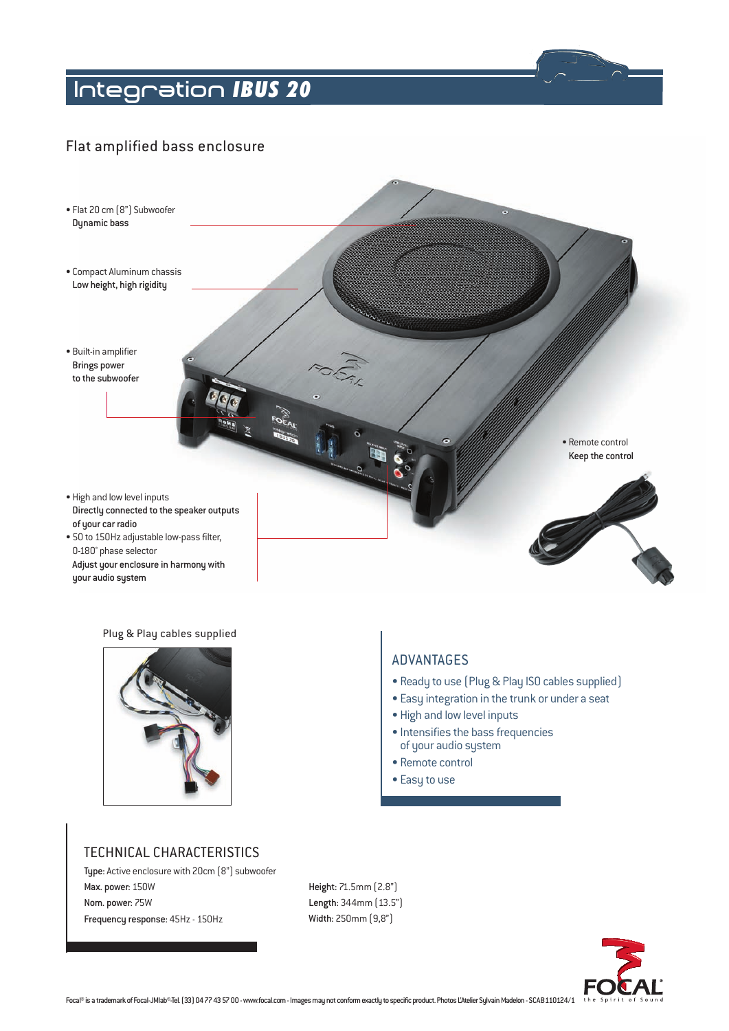# *IBUS 20* **Integration**

# Flat amplified bass enclosure



#### Plug & Play cables supplied



## Advantages

- Ready to use (Plug & Play ISO cables supplied)
- Easy integration in the trunk or under a seat
- High and low level inputs
- Intensifies the bass frequencies of your audio system
- Remote control
- Easy to use

## Technical characteristics

Type: Active enclosure with 20cm (8") subwoofer Max. power: 150W Nom. power: 75W Frequency response: 45Hz - 150Hz

Height: 71.5mm (2.8") Length: 344mm (13.5") Width: 250mm (9,8")